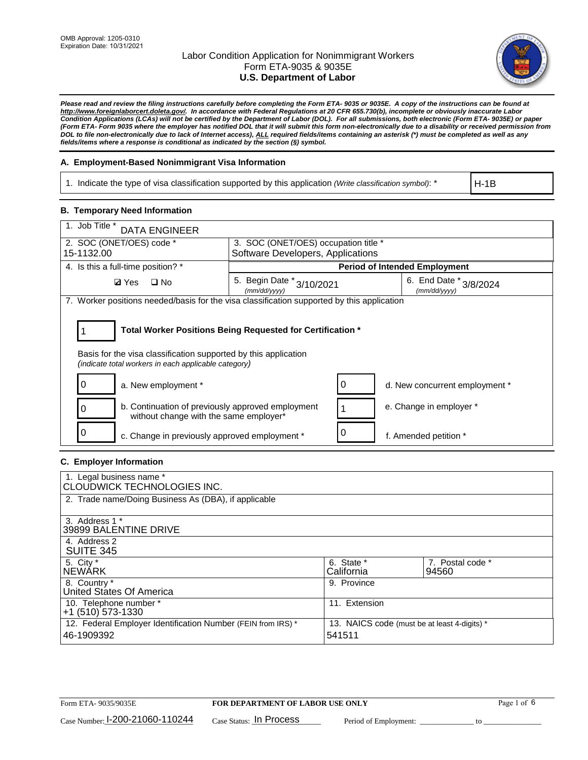

*Please read and review the filing instructions carefully before completing the Form ETA- 9035 or 9035E. A copy of the instructions can be found at [http://www.foreignlaborcert.doleta.gov/.](http://www.foreignlaborcert.doleta.gov/) In accordance with Federal Regulations at 20 CFR 655.730(b), incomplete or obviously inaccurate Labor Condition Applications (LCAs) will not be certified by the Department of Labor (DOL). For all submissions, both electronic (Form ETA- 9035E) or paper (Form ETA- Form 9035 where the employer has notified DOL that it will submit this form non-electronically due to a disability or received permission from DOL to file non-electronically due to lack of Internet access), ALL required fields/items containing an asterisk (\*) must be completed as well as any fields/items where a response is conditional as indicated by the section (§) symbol.* 

### **A. Employment-Based Nonimmigrant Visa Information**

1. Indicate the type of visa classification supported by this application *(Write classification symbol)*: \*

H-1B

### **B. Temporary Need Information**

| 1. Job Title *<br><b>DATA ENGINEER</b>                                                                                  |                                                                           |                                        |  |  |  |  |  |
|-------------------------------------------------------------------------------------------------------------------------|---------------------------------------------------------------------------|----------------------------------------|--|--|--|--|--|
| 2. SOC (ONET/OES) code *<br>15-1132.00                                                                                  | 3. SOC (ONET/OES) occupation title *<br>Software Developers, Applications |                                        |  |  |  |  |  |
|                                                                                                                         |                                                                           |                                        |  |  |  |  |  |
| 4. Is this a full-time position? *                                                                                      |                                                                           | <b>Period of Intended Employment</b>   |  |  |  |  |  |
| $\square$ No<br><b>Ø</b> Yes                                                                                            | 5. Begin Date * 3/10/2021<br>(mm/dd/yyyy)                                 | 6. End Date * 3/8/2024<br>(mm/dd/vvvv) |  |  |  |  |  |
| 7. Worker positions needed/basis for the visa classification supported by this application                              |                                                                           |                                        |  |  |  |  |  |
| Basis for the visa classification supported by this application<br>(indicate total workers in each applicable category) | Total Worker Positions Being Requested for Certification *                |                                        |  |  |  |  |  |
| a. New employment *                                                                                                     |                                                                           | 0<br>d. New concurrent employment *    |  |  |  |  |  |
| b. Continuation of previously approved employment<br>without change with the same employer*                             |                                                                           | e. Change in employer *                |  |  |  |  |  |
| c. Change in previously approved employment *                                                                           |                                                                           | f. Amended petition *                  |  |  |  |  |  |

### **C. Employer Information**

| 1. Legal business name *<br>CLOUDWICK TECHNOLOGIES INC.                    |                                                        |                           |
|----------------------------------------------------------------------------|--------------------------------------------------------|---------------------------|
| 2. Trade name/Doing Business As (DBA), if applicable                       |                                                        |                           |
| 3. Address 1 *<br>39899 BALENTINE DRIVE                                    |                                                        |                           |
| 4. Address 2<br><b>SUITE 345</b>                                           |                                                        |                           |
| 5. City *<br>INEWÁRK                                                       | 6. State *<br>California                               | 7. Postal code *<br>94560 |
| 8. Country *<br>United States Of America                                   | 9. Province                                            |                           |
| 10. Telephone number *<br>$+1$ (510) 573-1330                              | 11. Extension                                          |                           |
| 12. Federal Employer Identification Number (FEIN from IRS) *<br>46-1909392 | 13. NAICS code (must be at least 4-digits) *<br>541511 |                           |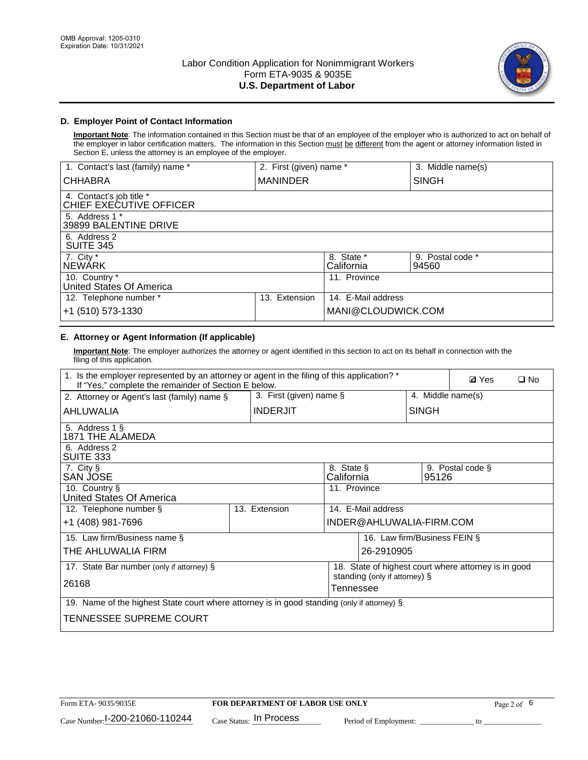

## **D. Employer Point of Contact Information**

**Important Note**: The information contained in this Section must be that of an employee of the employer who is authorized to act on behalf of the employer in labor certification matters. The information in this Section must be different from the agent or attorney information listed in Section E, unless the attorney is an employee of the employer.

| 1. Contact's last (family) name *                   | 2. First (given) name * |                          | 3. Middle name(s)         |
|-----------------------------------------------------|-------------------------|--------------------------|---------------------------|
| <b>CHHABRA</b>                                      | <b>MANINDER</b>         |                          | <b>SINGH</b>              |
| 4. Contact's job title *<br>CHIEF EXECUTIVE OFFICER |                         |                          |                           |
| 5. Address 1 *<br>39899 BALENTINE DRIVE             |                         |                          |                           |
| 6. Address 2<br><b>SUITE 345</b>                    |                         |                          |                           |
| 7. City *<br><b>NEWÁRK</b>                          |                         | 8. State *<br>California | 9. Postal code *<br>94560 |
| 10. Country *<br>United States Of America           |                         | 11. Province             |                           |
| 12. Telephone number *                              | Extension<br>13.        | 14. E-Mail address       |                           |
| +1 (510) 573-1330                                   |                         | MANI@CLOUDWICK.COM       |                           |

# **E. Attorney or Agent Information (If applicable)**

**Important Note**: The employer authorizes the attorney or agent identified in this section to act on its behalf in connection with the filing of this application.

| 1. Is the employer represented by an attorney or agent in the filing of this application? *<br>If "Yes," complete the remainder of Section E below. |                            |                          |                                            |                    |                              | <b>Ø</b> Yes<br>$\square$ No                         |  |
|-----------------------------------------------------------------------------------------------------------------------------------------------------|----------------------------|--------------------------|--------------------------------------------|--------------------|------------------------------|------------------------------------------------------|--|
| 2. Attorney or Agent's last (family) name §                                                                                                         | 3. First (given) name $\S$ |                          |                                            | 4. Middle name(s)  |                              |                                                      |  |
| <b>INDERJIT</b><br>AHLUWALIA                                                                                                                        |                            |                          | <b>SINGH</b>                               |                    |                              |                                                      |  |
| 5. Address 1 §<br>1871 THE ALAMEDA                                                                                                                  |                            |                          |                                            |                    |                              |                                                      |  |
| 6. Address 2<br>SUITE 333                                                                                                                           |                            |                          |                                            |                    |                              |                                                      |  |
| 7. City §<br>SAN JOSE                                                                                                                               |                            | 8. State §<br>California |                                            | 95126              | 9. Postal code §             |                                                      |  |
| 10. Country §<br>United States Of America                                                                                                           |                            |                          | 11. Province                               |                    |                              |                                                      |  |
| 12. Telephone number §                                                                                                                              |                            | 13. Extension            |                                            | 14. E-Mail address |                              |                                                      |  |
| +1 (408) 981-7696                                                                                                                                   |                            |                          | INDER@AHLUWALIA-FIRM.COM                   |                    |                              |                                                      |  |
| 15. Law firm/Business name §                                                                                                                        |                            |                          |                                            |                    | 16. Law firm/Business FEIN § |                                                      |  |
| THE AHLUWALIA FIRM                                                                                                                                  |                            |                          |                                            | 26-2910905         |                              |                                                      |  |
| 17. State Bar number (only if attorney) §                                                                                                           |                            |                          |                                            |                    |                              | 18. State of highest court where attorney is in good |  |
| 26168                                                                                                                                               |                            |                          | standing (only if attorney) §<br>Tennessee |                    |                              |                                                      |  |
| 19. Name of the highest State court where attorney is in good standing (only if attorney) §                                                         |                            |                          |                                            |                    |                              |                                                      |  |
| TENNESSEE SUPREME COURT                                                                                                                             |                            |                          |                                            |                    |                              |                                                      |  |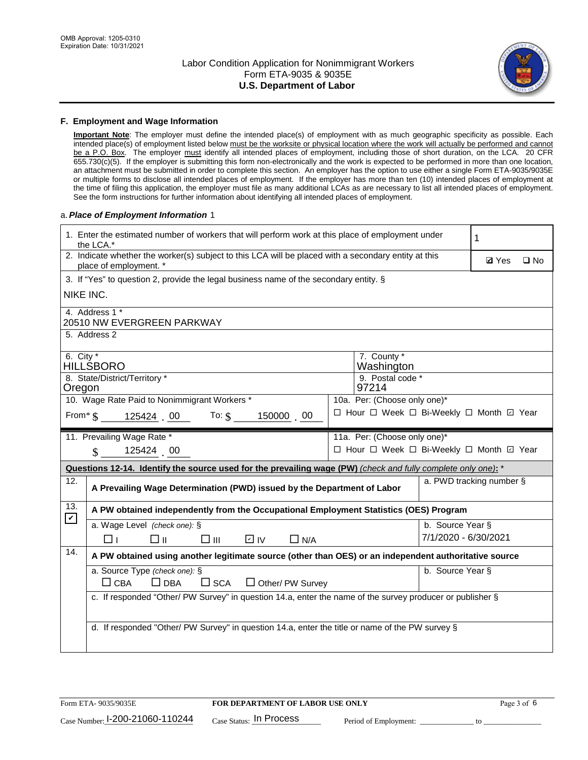

#### **F. Employment and Wage Information**

**Important Note**: The employer must define the intended place(s) of employment with as much geographic specificity as possible. Each intended place(s) of employment listed below must be the worksite or physical location where the work will actually be performed and cannot be a P.O. Box. The employer must identify all intended places of employment, including those of short duration, on the LCA. 20 CFR 655.730(c)(5). If the employer is submitting this form non-electronically and the work is expected to be performed in more than one location, an attachment must be submitted in order to complete this section. An employer has the option to use either a single Form ETA-9035/9035E or multiple forms to disclose all intended places of employment. If the employer has more than ten (10) intended places of employment at the time of filing this application, the employer must file as many additional LCAs as are necessary to list all intended places of employment. See the form instructions for further information about identifying all intended places of employment.

#### a.*Place of Employment Information* 1

| 1. Enter the estimated number of workers that will perform work at this place of employment under<br>the LCA.* |                                                                                                                                | 1 |                                          |                      |                          |  |  |  |
|----------------------------------------------------------------------------------------------------------------|--------------------------------------------------------------------------------------------------------------------------------|---|------------------------------------------|----------------------|--------------------------|--|--|--|
|                                                                                                                | 2. Indicate whether the worker(s) subject to this LCA will be placed with a secondary entity at this<br>place of employment. * |   |                                          |                      |                          |  |  |  |
|                                                                                                                | 3. If "Yes" to question 2, provide the legal business name of the secondary entity. §                                          |   |                                          |                      |                          |  |  |  |
|                                                                                                                | NIKE INC.                                                                                                                      |   |                                          |                      |                          |  |  |  |
|                                                                                                                | 4. Address 1 *<br>20510 NW EVERGREEN PARKWAY                                                                                   |   |                                          |                      |                          |  |  |  |
|                                                                                                                | 5. Address 2                                                                                                                   |   |                                          |                      |                          |  |  |  |
| 6. City $*$                                                                                                    | HILLŚBORO                                                                                                                      |   | 7. County *<br>Washington                |                      |                          |  |  |  |
| Oregon                                                                                                         | 8. State/District/Territory *                                                                                                  |   | 9. Postal code *<br>97214                |                      |                          |  |  |  |
|                                                                                                                | 10. Wage Rate Paid to Nonimmigrant Workers *                                                                                   |   | 10a. Per: (Choose only one)*             |                      |                          |  |  |  |
|                                                                                                                | □ Hour □ Week □ Bi-Weekly □ Month ☑ Year<br>From* \$125424 00 To: \$<br>150000 00                                              |   |                                          |                      |                          |  |  |  |
|                                                                                                                | 11. Prevailing Wage Rate *                                                                                                     |   | 11a. Per: (Choose only one)*             |                      |                          |  |  |  |
|                                                                                                                | $\sin 125424 = 00$                                                                                                             |   | □ Hour □ Week □ Bi-Weekly □ Month 回 Year |                      |                          |  |  |  |
|                                                                                                                | Questions 12-14. Identify the source used for the prevailing wage (PW) (check and fully complete only one): *                  |   |                                          |                      |                          |  |  |  |
| 12.                                                                                                            | A Prevailing Wage Determination (PWD) issued by the Department of Labor                                                        |   |                                          |                      | a. PWD tracking number § |  |  |  |
| 13.                                                                                                            | A PW obtained independently from the Occupational Employment Statistics (OES) Program                                          |   |                                          |                      |                          |  |  |  |
| $\mathbf v$                                                                                                    | a. Wage Level (check one): §                                                                                                   |   |                                          | b. Source Year §     |                          |  |  |  |
|                                                                                                                | D IV<br>□⊪<br>$\square$ $\square$<br>$\Box$ N/A<br>⊓⊥                                                                          |   |                                          | 7/1/2020 - 6/30/2021 |                          |  |  |  |
| 14.                                                                                                            | A PW obtained using another legitimate source (other than OES) or an independent authoritative source                          |   |                                          |                      |                          |  |  |  |
|                                                                                                                | a. Source Type (check one): §<br>b. Source Year §<br>$\Box$ CBA<br>$\Box$ DBA<br>$\square$ SCA<br>$\Box$ Other/ PW Survey      |   |                                          |                      |                          |  |  |  |
|                                                                                                                | c. If responded "Other/ PW Survey" in question 14.a, enter the name of the survey producer or publisher §                      |   |                                          |                      |                          |  |  |  |
|                                                                                                                | d. If responded "Other/ PW Survey" in question 14.a, enter the title or name of the PW survey §                                |   |                                          |                      |                          |  |  |  |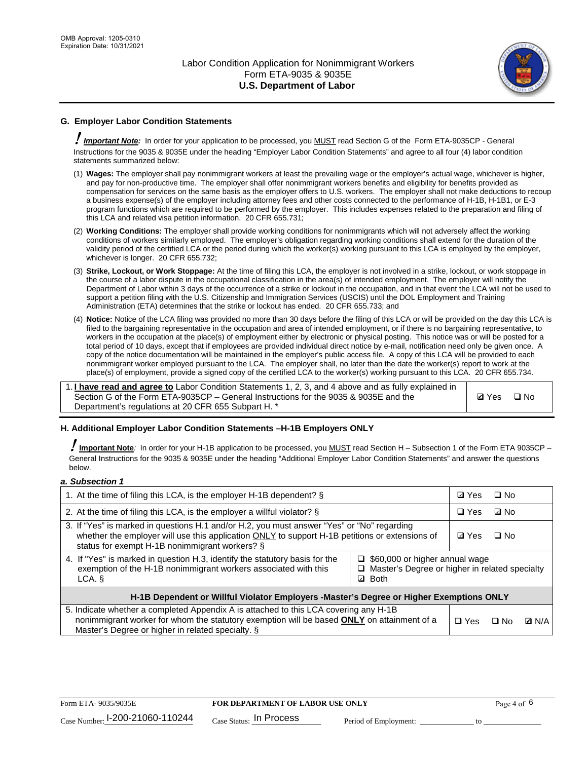

## **G. Employer Labor Condition Statements**

! *Important Note:* In order for your application to be processed, you MUST read Section G of the Form ETA-9035CP - General Instructions for the 9035 & 9035E under the heading "Employer Labor Condition Statements" and agree to all four (4) labor condition statements summarized below:

- (1) **Wages:** The employer shall pay nonimmigrant workers at least the prevailing wage or the employer's actual wage, whichever is higher, and pay for non-productive time. The employer shall offer nonimmigrant workers benefits and eligibility for benefits provided as compensation for services on the same basis as the employer offers to U.S. workers. The employer shall not make deductions to recoup a business expense(s) of the employer including attorney fees and other costs connected to the performance of H-1B, H-1B1, or E-3 program functions which are required to be performed by the employer. This includes expenses related to the preparation and filing of this LCA and related visa petition information. 20 CFR 655.731;
- (2) **Working Conditions:** The employer shall provide working conditions for nonimmigrants which will not adversely affect the working conditions of workers similarly employed. The employer's obligation regarding working conditions shall extend for the duration of the validity period of the certified LCA or the period during which the worker(s) working pursuant to this LCA is employed by the employer, whichever is longer. 20 CFR 655.732;
- (3) **Strike, Lockout, or Work Stoppage:** At the time of filing this LCA, the employer is not involved in a strike, lockout, or work stoppage in the course of a labor dispute in the occupational classification in the area(s) of intended employment. The employer will notify the Department of Labor within 3 days of the occurrence of a strike or lockout in the occupation, and in that event the LCA will not be used to support a petition filing with the U.S. Citizenship and Immigration Services (USCIS) until the DOL Employment and Training Administration (ETA) determines that the strike or lockout has ended. 20 CFR 655.733; and
- (4) **Notice:** Notice of the LCA filing was provided no more than 30 days before the filing of this LCA or will be provided on the day this LCA is filed to the bargaining representative in the occupation and area of intended employment, or if there is no bargaining representative, to workers in the occupation at the place(s) of employment either by electronic or physical posting. This notice was or will be posted for a total period of 10 days, except that if employees are provided individual direct notice by e-mail, notification need only be given once. A copy of the notice documentation will be maintained in the employer's public access file. A copy of this LCA will be provided to each nonimmigrant worker employed pursuant to the LCA. The employer shall, no later than the date the worker(s) report to work at the place(s) of employment, provide a signed copy of the certified LCA to the worker(s) working pursuant to this LCA. 20 CFR 655.734.

1. **I have read and agree to** Labor Condition Statements 1, 2, 3, and 4 above and as fully explained in Section G of the Form ETA-9035CP – General Instructions for the 9035 & 9035E and the Department's regulations at 20 CFR 655 Subpart H. \*

**Ø**Yes ロNo

### **H. Additional Employer Labor Condition Statements –H-1B Employers ONLY**

!**Important Note***:* In order for your H-1B application to be processed, you MUST read Section H – Subsection 1 of the Form ETA 9035CP – General Instructions for the 9035 & 9035E under the heading "Additional Employer Labor Condition Statements" and answer the questions below.

#### *a. Subsection 1*

| 1. At the time of filing this LCA, is the employer H-1B dependent? §                                                                                                                                                                                                      | ⊡ Yes      | □ No |              |  |  |
|---------------------------------------------------------------------------------------------------------------------------------------------------------------------------------------------------------------------------------------------------------------------------|------------|------|--------------|--|--|
| 2. At the time of filing this LCA, is the employer a willful violator? $\S$                                                                                                                                                                                               |            |      | ⊡ No         |  |  |
| 3. If "Yes" is marked in questions H.1 and/or H.2, you must answer "Yes" or "No" regarding<br>whether the employer will use this application ONLY to support H-1B petitions or extensions of<br>status for exempt H-1B nonimmigrant workers? §                            |            |      | $\Box$ No    |  |  |
| 4. If "Yes" is marked in question H.3, identify the statutory basis for the<br>$\Box$ \$60,000 or higher annual wage<br>exemption of the H-1B nonimmigrant workers associated with this<br>□ Master's Degree or higher in related specialty<br><b>Both</b><br>LCA. §<br>☑ |            |      |              |  |  |
| H-1B Dependent or Willful Violator Employers -Master's Degree or Higher Exemptions ONLY                                                                                                                                                                                   |            |      |              |  |  |
| 5. Indicate whether a completed Appendix A is attached to this LCA covering any H-1B<br>nonimmigrant worker for whom the statutory exemption will be based <b>ONLY</b> on attainment of a<br>Master's Degree or higher in related specialty. §                            | $\Box$ Yes | ⊟ No | <b>Q</b> N/A |  |  |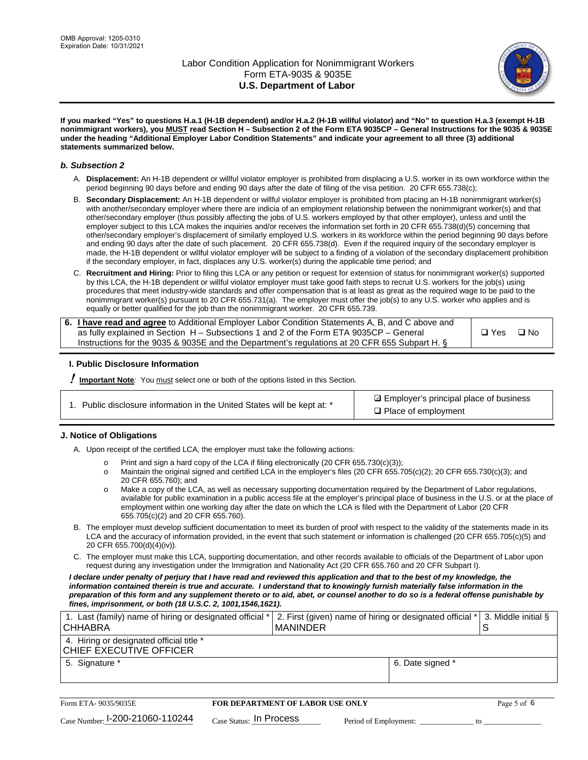

**If you marked "Yes" to questions H.a.1 (H-1B dependent) and/or H.a.2 (H-1B willful violator) and "No" to question H.a.3 (exempt H-1B nonimmigrant workers), you MUST read Section H – Subsection 2 of the Form ETA 9035CP – General Instructions for the 9035 & 9035E under the heading "Additional Employer Labor Condition Statements" and indicate your agreement to all three (3) additional statements summarized below.**

#### *b. Subsection 2*

- A. **Displacement:** An H-1B dependent or willful violator employer is prohibited from displacing a U.S. worker in its own workforce within the period beginning 90 days before and ending 90 days after the date of filing of the visa petition. 20 CFR 655.738(c);
- B. **Secondary Displacement:** An H-1B dependent or willful violator employer is prohibited from placing an H-1B nonimmigrant worker(s) with another/secondary employer where there are indicia of an employment relationship between the nonimmigrant worker(s) and that other/secondary employer (thus possibly affecting the jobs of U.S. workers employed by that other employer), unless and until the employer subject to this LCA makes the inquiries and/or receives the information set forth in 20 CFR 655.738(d)(5) concerning that other/secondary employer's displacement of similarly employed U.S. workers in its workforce within the period beginning 90 days before and ending 90 days after the date of such placement. 20 CFR 655.738(d). Even if the required inquiry of the secondary employer is made, the H-1B dependent or willful violator employer will be subject to a finding of a violation of the secondary displacement prohibition if the secondary employer, in fact, displaces any U.S. worker(s) during the applicable time period; and
- C. **Recruitment and Hiring:** Prior to filing this LCA or any petition or request for extension of status for nonimmigrant worker(s) supported by this LCA, the H-1B dependent or willful violator employer must take good faith steps to recruit U.S. workers for the job(s) using procedures that meet industry-wide standards and offer compensation that is at least as great as the required wage to be paid to the nonimmigrant worker(s) pursuant to 20 CFR 655.731(a). The employer must offer the job(s) to any U.S. worker who applies and is equally or better qualified for the job than the nonimmigrant worker. 20 CFR 655.739.

| 6. I have read and agree to Additional Employer Labor Condition Statements A, B, and C above and |       |           |
|--------------------------------------------------------------------------------------------------|-------|-----------|
| as fully explained in Section H – Subsections 1 and 2 of the Form ETA 9035CP – General           | □ Yes | $\Box$ No |
| Instructions for the 9035 & 9035E and the Department's regulations at 20 CFR 655 Subpart H. §    |       |           |

### **I. Public Disclosure Information**

! **Important Note***:* You must select one or both of the options listed in this Section.

| 1. Public disclosure information in the United States will be kept at: * |
|--------------------------------------------------------------------------|
|--------------------------------------------------------------------------|

**sqrt** Employer's principal place of business □ Place of employment

### **J. Notice of Obligations**

A. Upon receipt of the certified LCA, the employer must take the following actions:

- o Print and sign a hard copy of the LCA if filing electronically (20 CFR 655.730(c)(3));<br>
Maintain the original signed and certified LCA in the employer's files (20 CFR 655.7
- Maintain the original signed and certified LCA in the employer's files (20 CFR 655.705(c)(2); 20 CFR 655.730(c)(3); and 20 CFR 655.760); and
- o Make a copy of the LCA, as well as necessary supporting documentation required by the Department of Labor regulations, available for public examination in a public access file at the employer's principal place of business in the U.S. or at the place of employment within one working day after the date on which the LCA is filed with the Department of Labor (20 CFR 655.705(c)(2) and 20 CFR 655.760).
- B. The employer must develop sufficient documentation to meet its burden of proof with respect to the validity of the statements made in its LCA and the accuracy of information provided, in the event that such statement or information is challenged (20 CFR 655.705(c)(5) and 20 CFR 655.700(d)(4)(iv)).
- C. The employer must make this LCA, supporting documentation, and other records available to officials of the Department of Labor upon request during any investigation under the Immigration and Nationality Act (20 CFR 655.760 and 20 CFR Subpart I).

*I declare under penalty of perjury that I have read and reviewed this application and that to the best of my knowledge, the*  information contained therein is true and accurate. I understand that to knowingly furnish materially false information in the *preparation of this form and any supplement thereto or to aid, abet, or counsel another to do so is a federal offense punishable by fines, imprisonment, or both (18 U.S.C. 2, 1001,1546,1621).*

| 1. Last (family) name of hiring or designated official *<br><b>CHHABRA</b> |                         | <b>MANINDER</b>                         | 2. First (given) name of hiring or designated official * | 3. Middle initial §<br>S |
|----------------------------------------------------------------------------|-------------------------|-----------------------------------------|----------------------------------------------------------|--------------------------|
| 4. Hiring or designated official title *<br>CHIEF EXECUTIVE OFFICER        |                         |                                         |                                                          |                          |
| 5. Signature *                                                             |                         |                                         | 6. Date signed *                                         |                          |
|                                                                            |                         |                                         |                                                          |                          |
| Form ETA- 9035/9035E                                                       |                         | <b>FOR DEPARTMENT OF LABOR USE ONLY</b> |                                                          | Page 5 of 6              |
| $_{\text{Case Number:}}$ 1-200-21060-110244                                | Case Status: In Process |                                         | Period of Employment:                                    | tΩ                       |